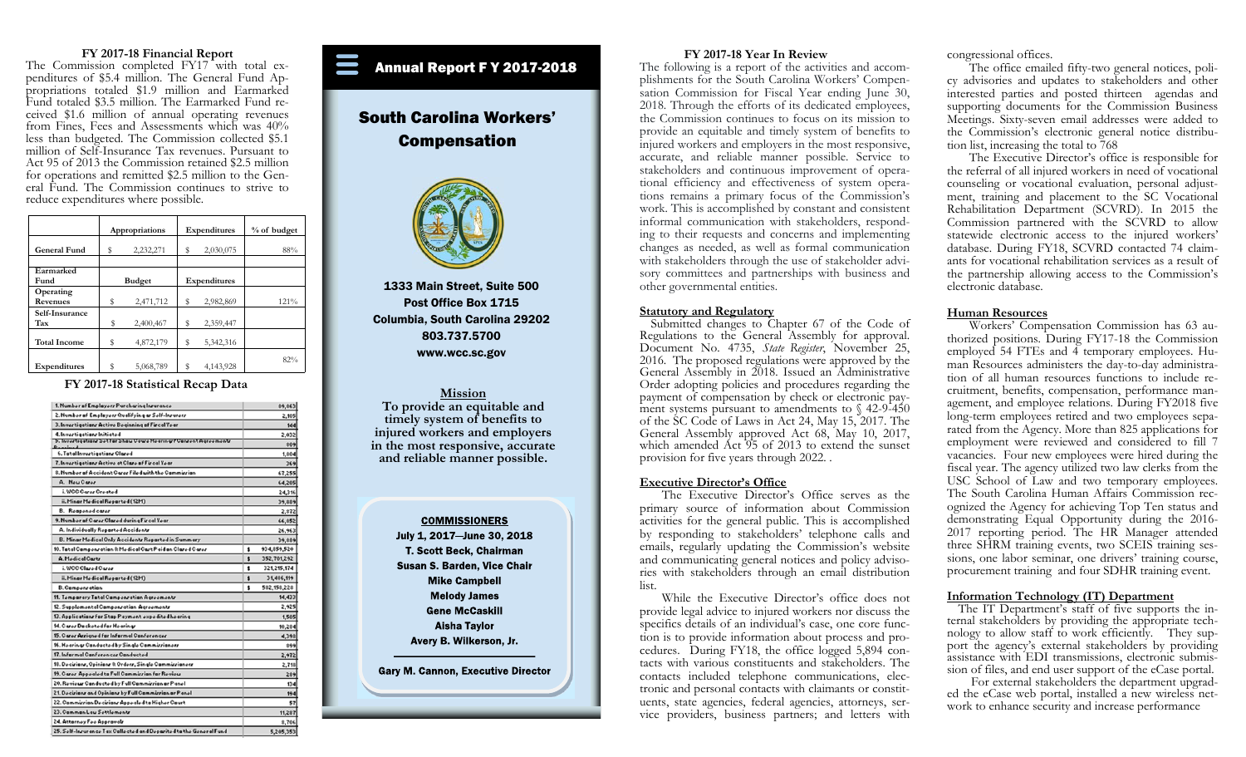## **FY 2017-18 Financial Report**

The Commission completed FY17 with total expenditures of \$5.4 million. The General Fund Appropriations totaled \$1.9 million and Earmarked Fund totaled \$3.5 million. The Earmarked Fund received \$1.6 million of annual operating revenues from Fines, Fees and Assessments which was 40% less than budgeted. The Commission collected \$5.1 million of Self-Insurance Tax revenues. Pursuant to Act 95 of 2013 the Commission retained \$2.5 million for operations and remitted \$2.5 million to the General Fund. The Commission continues to strive to reduce expenditures where possible.

|                       |    | Appropriations | Expenditures |              | % of budget |
|-----------------------|----|----------------|--------------|--------------|-------------|
| <b>General Fund</b>   | s  | 2,232,271      | s            | 2,030,075    | 88%         |
| Earmarked<br>Fund     |    | <b>Budget</b>  |              | Expenditures |             |
| Operating<br>Revenues | \$ | 2,471,712      | s            | 2,982,869    | 121%        |
| Self-Insurance<br>Tax | \$ | 2,400,467      | s            | 2,359,447    |             |
| <b>Total Income</b>   | \$ | 4,872,179      | s            | 5,342,316    |             |
| Expenditures          | \$ | 5,068,789      | Ŝ            | 4,143,928    | 82%         |

**FY 2017-18 Statistical Recap Data** 

| 1. Number of Employers Purchasing Insurance                        |    | 89,863      |
|--------------------------------------------------------------------|----|-------------|
| 2. Number of Employers Qualifying as Self-Insurers                 |    | 2,105       |
| 3. Invertigations Active Beginning of Fircal Year                  |    | 144         |
| 4. Invertigations Initiated                                        |    | 2,032       |
| 5. Invertigationr Settor Show Cawe Hearingr/ Conrent Agreementr    |    | 809         |
| 6. Tatal Invertigations Clared                                     |    | 1,804       |
| 7. Invertigations Active at Clare of Fireal Year                   |    | 369         |
| 8. Number of Accident Carer Filed with the Commission              |    | 67,255      |
| A. Nou Caroz                                                       |    | 64,205      |
| i, WCC Carer Created                                               |    | 24,316      |
| ii. Minar Medical Reparted (12M)                                   |    | 39,889      |
| B. Rooponodcaror                                                   |    | 2,872       |
| 9. Number of Carer Clared during Fireal Year                       |    | 66,852      |
| A. Individually Reparted Accidents                                 |    | 26,963      |
| B. Minar Medical Only Accidents Reparted in Summary                |    | 39,889      |
| 10. Tatal Campenration & Medical Cart Paid on Clared Carer         | \$ | 934,859,520 |
| A. Medical Carty                                                   | \$ | 352,701,292 |
| i. WCC Clared Carer                                                | \$ | 321,215,174 |
| ii. Minar Medical Reparted (12M)                                   | £. | 31,486,119  |
| <b>B. Campenration</b>                                             | \$ | 582,158,228 |
| 11. Temparary Tatal Campenration Agreementr                        |    | 14,433      |
| 12. Supplemental Campenration Agreementr                           |    | 2,925       |
| 13. Applications for Stop Payment expedited hearing                |    | 1,505       |
| 14. Carer Dacketed far Hearingr                                    |    | 10,284      |
| 15. Carer Arrigned for Informal Conferencer                        |    | 4,398       |
| 16. Hoaringr Canductod by Singlo Cammirrianorr                     |    | \$99        |
| 17. Informal Conferencer Conducted                                 |    | 2,972       |
| 18. Decirians, Opinians & Orders, Single Cammissianers             |    | 2,718       |
| 19. Carer Appealed to Full Commirrian for Review                   |    | 289         |
| 20. Review Canducted by Full Cammizzian ar Panel                   |    | 134         |
| 21. Decirians and Opinians by Full Cammission or Panel             |    | 194         |
| 22. Cammizzian Decizianz Appealed ta Higher Caurt                  |    | 57          |
| 23. Camman Lau Sottlemontr                                         |    | 11,287      |
| 24. Attorney Fee Approvalr                                         |    | 8,706       |
| 25. Self-Inrurance Tax Callected and Deparited to the General Fund |    | 5205253     |

## Annual Report F Y 2017-2018

# South Carolina Workers' Compensation



1333 Main Street, Suite 500 Post Office Box 1715 Columbia, South Carolina 29202 803.737.5700 www.wcc.sc.gov

**Mission To provide an equitable and timely system of benefits to injured workers and employers in the most responsive, accurate and reliable manner possible.** 

**COMMISSIONERS** July 1, 2017-June 30, 2018 T. Scott Beck, Chairman Susan S. Barden, Vice Chair **Mike Campbell Melody James Gene McCaskill Aisha Taylor** Avery B. Wilkerson, Jr. **Gary M. Cannon, Executive Director** 

## **FY 2017-18 Year In Review**

The following is a report of the activities and accomplishments for the South Carolina Workers' Compensation Commission for Fiscal Year ending June 30, 2018. Through the efforts of its dedicated employees, the Commission continues to focus on its mission to provide an equitable and timely system of benefits to injured workers and employers in the most responsive, accurate, and reliable manner possible. Service to stakeholders and continuous improvement of operational efficiency and effectiveness of system operations remains a primary focus of the Commission's work. This is accomplished by constant and consistent informal communication with stakeholders, responding to their requests and concerns and implementing changes as needed, as well as formal communication with stakeholders through the use of stakeholder advisory committees and partnerships with business and other governmental entities.

## **Statutory and Regulatory**

 Submitted changes to Chapter 67 of the Code of Regulations to the General Assembly for approval. Document No. 4735, *State Register*, November 25, 2016. The proposed regulations were approved by the General Assembly in 2018. Issued an Administrative Order adopting policies and procedures regarding the payment of compensation by check or electronic payment systems pursuant to amendments to  $\sqrt{42-9-450}$ of the SC Code of Laws in Act 24, May 15, 2017. The General Assembly approved Act 68, May 10, 2017, which amended Act 95 of 2013 to extend the sunset provision for five years through 2022. .

#### **Executive Director's Office**

 The Executive Director's Office serves as the primary source of information about Commission activities for the general public. This is accomplished by responding to stakeholders' telephone calls and emails, regularly updating the Commission's website and communicating general notices and policy advisories with stakeholders through an email distribution list.

 While the Executive Director's office does not provide legal advice to injured workers nor discuss the specifics details of an individual's case, one core function is to provide information about process and procedures. During FY18, the office logged 5,894 contacts with various constituents and stakeholders. The contacts included telephone communications, electronic and personal contacts with claimants or constituents, state agencies, federal agencies, attorneys, service providers, business partners; and letters with

congressional offices.

 The office emailed fifty-two general notices, policy advisories and updates to stakeholders and other interested parties and posted thirteen agendas and supporting documents for the Commission Business Meetings. Sixty-seven email addresses were added to the Commission's electronic general notice distribution list, increasing the total to 768

 The Executive Director's office is responsible for the referral of all injured workers in need of vocational counseling or vocational evaluation, personal adjustment, training and placement to the SC Vocational Rehabilitation Department (SCVRD). In 2015 the Commission partnered with the SCVRD to allow statewide electronic access to the injured workers' database. During FY18, SCVRD contacted 74 claimants for vocational rehabilitation services as a result of the partnership allowing access to the Commission's electronic database.

## **Human Resources**

 Workers' Compensation Commission has 63 authorized positions. During FY17-18 the Commission employed 54 FTEs and 4 temporary employees. Human Resources administers the day-to-day administration of all human resources functions to include recruitment, benefits, compensation, performance management, and employee relations. During FY2018 five long-term employees retired and two employees separated from the Agency. More than 825 applications for employment were reviewed and considered to fill 7 vacancies. Four new employees were hired during the fiscal year. The agency utilized two law clerks from the USC School of Law and two temporary employees. The South Carolina Human Affairs Commission recognized the Agency for achieving Top Ten status and demonstrating Equal Opportunity during the 2016- 2017 reporting period. The HR Manager attended three SHRM training events, two SCEIS training sessions, one labor seminar, one drivers' training course, procurement training and four SDHR training event.

## **Information Technology (IT) Department**

 The IT Department's staff of five supports the internal stakeholders by providing the appropriate technology to allow staff to work efficiently. They support the agency's external stakeholders by providing assistance with EDI transmissions, electronic submission of files, and end user support of the eCase portal.

For external stakeholders the department upgraded the eCase web portal, installed a new wireless network to enhance security and increase performance